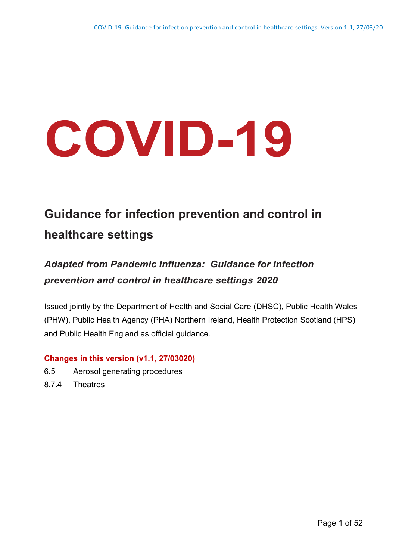# **COVID-19**

### **Guidance for infection prevention and control in healthcare settings**

#### *Adapted from Pandemic Influenza: Guidance for Infection prevention and control in healthcare settings 2020*

Issued jointly by the Department of Health and Social Care (DHSC), Public Health Wales (PHW), Public Health Agency (PHA) Northern Ireland, Health Protection Scotland (HPS) and Public Health England as official guidance.

#### **Changes in this version (v1.1, 27/03020)**

- 6.5 Aerosol generating procedures
- 8.7.4 Theatres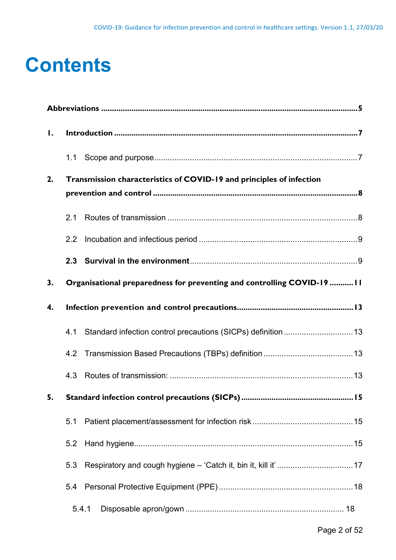### **Contents**

| Ι. |     |                                                                         |
|----|-----|-------------------------------------------------------------------------|
|    | 1.1 |                                                                         |
| 2. |     | Transmission characteristics of COVID-19 and principles of infection    |
|    |     |                                                                         |
|    | 2.1 |                                                                         |
|    | 2.2 |                                                                         |
|    |     |                                                                         |
| 3. |     | Organisational preparedness for preventing and controlling COVID-19  11 |
| 4. |     |                                                                         |
|    | 4.1 | Standard infection control precautions (SICPs) definition  13           |
|    | 4.2 |                                                                         |
|    | 4.3 |                                                                         |
| 5. |     |                                                                         |
|    | 5.1 |                                                                         |
|    | 5.2 |                                                                         |
|    | 5.3 |                                                                         |
|    | 5.4 |                                                                         |
|    |     | 5.4.1                                                                   |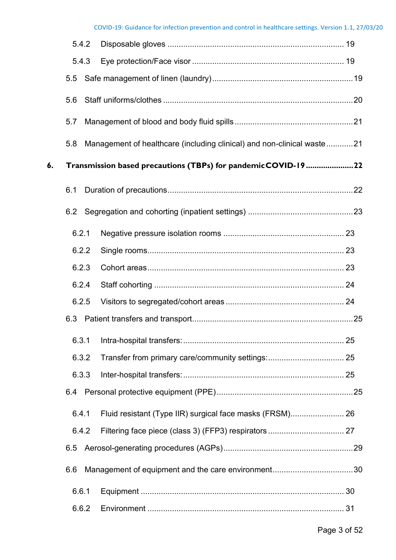|    | 5.4.2 |                                                                        |  |
|----|-------|------------------------------------------------------------------------|--|
|    | 5.4.3 |                                                                        |  |
|    | 5.5   |                                                                        |  |
|    | 5.6   |                                                                        |  |
|    | 5.7   |                                                                        |  |
|    | 5.8   | Management of healthcare (including clinical) and non-clinical waste21 |  |
| 6. |       | Transmission based precautions (TBPs) for pandemic COVID-19 22         |  |
|    | 6.1   |                                                                        |  |
|    | 6.2   |                                                                        |  |
|    | 6.2.1 |                                                                        |  |
|    | 6.2.2 |                                                                        |  |
|    | 6.2.3 |                                                                        |  |
|    | 6.2.4 |                                                                        |  |
|    | 6.2.5 |                                                                        |  |
|    | 6.3   |                                                                        |  |
|    | 6.3.1 |                                                                        |  |
|    | 6.3.2 |                                                                        |  |
|    | 6.3.3 |                                                                        |  |
|    | 6.4   |                                                                        |  |
|    | 6.4.1 | Fluid resistant (Type IIR) surgical face masks (FRSM) 26               |  |
|    | 6.4.2 |                                                                        |  |
|    | 6.5   |                                                                        |  |
|    | 6.6   |                                                                        |  |
|    | 6.6.1 |                                                                        |  |
|    | 6.6.2 |                                                                        |  |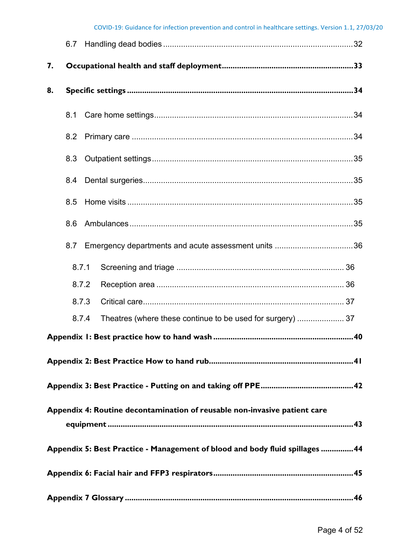|    |     |       | COVID-19: Guidance for infection prevention and control in healthcare settings. Version 1.1, 27/03/20 |    |
|----|-----|-------|-------------------------------------------------------------------------------------------------------|----|
|    |     |       |                                                                                                       |    |
| 7. |     |       |                                                                                                       |    |
| 8. |     |       |                                                                                                       |    |
|    | 8.1 |       |                                                                                                       |    |
|    | 8.2 |       |                                                                                                       |    |
|    | 8.3 |       |                                                                                                       |    |
|    | 8.4 |       |                                                                                                       |    |
|    | 8.5 |       |                                                                                                       |    |
|    | 8.6 |       |                                                                                                       |    |
|    | 8.7 |       |                                                                                                       |    |
|    |     | 8.7.1 |                                                                                                       |    |
|    |     | 8.7.2 |                                                                                                       |    |
|    |     | 8.7.3 |                                                                                                       |    |
|    |     | 8.7.4 | Theatres (where these continue to be used for surgery)                                                | 37 |
|    |     |       |                                                                                                       |    |
|    |     |       |                                                                                                       |    |
|    |     |       |                                                                                                       |    |
|    |     |       | Appendix 4: Routine decontamination of reusable non-invasive patient care                             |    |
|    |     |       | Appendix 5: Best Practice - Management of blood and body fluid spillages 44                           |    |
|    |     |       |                                                                                                       |    |
|    |     |       |                                                                                                       |    |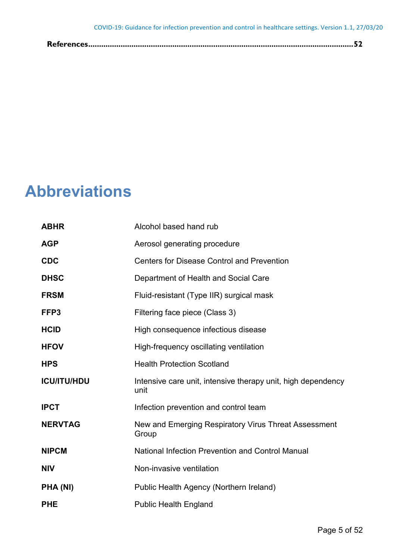<span id="page-4-0"></span>

| <b>ABHR</b>        | Alcohol based hand rub                                               |
|--------------------|----------------------------------------------------------------------|
| <b>AGP</b>         | Aerosol generating procedure                                         |
| <b>CDC</b>         | <b>Centers for Disease Control and Prevention</b>                    |
| <b>DHSC</b>        | Department of Health and Social Care                                 |
| <b>FRSM</b>        | Fluid-resistant (Type IIR) surgical mask                             |
| FFP3               | Filtering face piece (Class 3)                                       |
| <b>HCID</b>        | High consequence infectious disease                                  |
| <b>HFOV</b>        | High-frequency oscillating ventilation                               |
| <b>HPS</b>         | <b>Health Protection Scotland</b>                                    |
| <b>ICU/ITU/HDU</b> | Intensive care unit, intensive therapy unit, high dependency<br>unit |
| <b>IPCT</b>        | Infection prevention and control team                                |
| <b>NERVTAG</b>     | New and Emerging Respiratory Virus Threat Assessment<br>Group        |
| <b>NIPCM</b>       | National Infection Prevention and Control Manual                     |
| <b>NIV</b>         | Non-invasive ventilation                                             |
| PHA (NI)           | Public Health Agency (Northern Ireland)                              |
| <b>PHE</b>         | <b>Public Health England</b>                                         |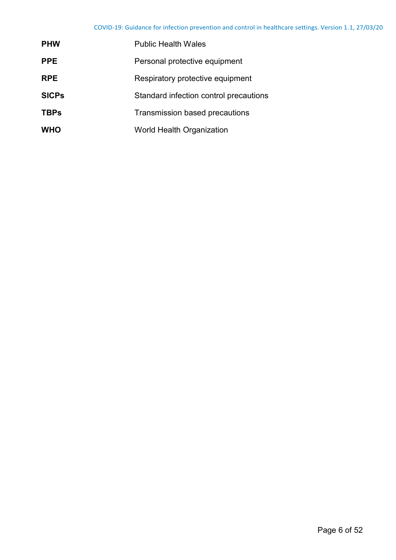| <b>PHW</b>   | <b>Public Health Wales</b>             |
|--------------|----------------------------------------|
| <b>PPE</b>   | Personal protective equipment          |
| <b>RPE</b>   | Respiratory protective equipment       |
| <b>SICPS</b> | Standard infection control precautions |
| <b>TBPs</b>  | Transmission based precautions         |
| <b>WHO</b>   | <b>World Health Organization</b>       |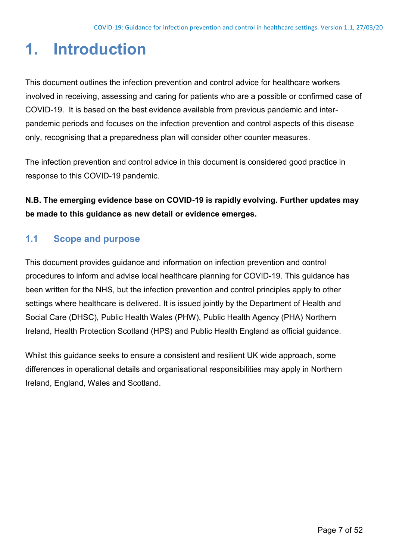### <span id="page-6-0"></span>**1. Introduction**

This document outlines the infection prevention and control advice for healthcare workers involved in receiving, assessing and caring for patients who are a possible or confirmed case of COVID-19. It is based on the best evidence available from previous pandemic and interpandemic periods and focuses on the infection prevention and control aspects of this disease only, recognising that a preparedness plan will consider other counter measures.

The infection prevention and control advice in this document is considered good practice in response to this COVID-19 pandemic.

**N.B. The emerging evidence base on COVID-19 is rapidly evolving. Further updates may be made to this guidance as new detail or evidence emerges.** 

#### <span id="page-6-1"></span>**1.1 Scope and purpose**

This document provides guidance and information on infection prevention and control procedures to inform and advise local healthcare planning for COVID-19. This guidance has been written for the NHS, but the infection prevention and control principles apply to other settings where healthcare is delivered. It is issued jointly by the Department of Health and Social Care (DHSC), Public Health Wales (PHW), Public Health Agency (PHA) Northern Ireland, Health Protection Scotland (HPS) and Public Health England as official guidance.

Whilst this guidance seeks to ensure a consistent and resilient UK wide approach, some differences in operational details and organisational responsibilities may apply in Northern Ireland, England, Wales and Scotland.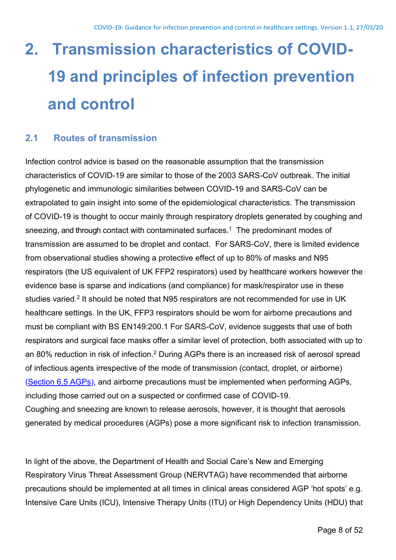# <span id="page-7-0"></span>**2. Transmission characteristics of COVID-19 and principles of infection prevention and control**

#### <span id="page-7-1"></span>**2.1 Routes of transmission**

Infection control advice is based on the reasonable assumption that the transmission characteristics of COVID-19 are similar to those of the 2003 SARS-CoV outbreak. The initial phylogenetic and immunologic similarities between COVID-19 and SARS-CoV can be extrapolated to gain insight into some of the epidemiological characteristics. The transmission of COVID-19 is thought to occur mainly through respiratory droplets generated by coughing and sneezing, and through contact with contaminated surfaces. 1 The predominant modes of transmission are assumed to be droplet and contact. For SARS-CoV, there is limited evidence from observational studies showing a protective effect of up to 80% of masks and N95 respirators (the US equivalent of UK FFP2 respirators) used by healthcare workers however the evidence base is sparse and indications (and compliance) for mask/respirator use in these studies varied.<sup>2</sup> It should be noted that N95 respirators are not recommended for use in UK healthcare settings. In the UK, FFP3 respirators should be worn for airborne precautions and must be compliant with BS EN149:200.1 For SARS-CoV, evidence suggests that use of both respirators and surgical face masks offer a similar level of protection, both associated with up to an 80% reduction in risk of infection.<sup>2</sup> During AGPs there is an increased risk of aerosol spread of infectious agents irrespective of the mode of transmission (contact, droplet, or airborne) [\(Section](#page-28-0) 6.5 AGPs), and airborne precautions must be implemented when performing AGPs, including those carried out on a suspected or confirmed case of COVID-19. Coughing and sneezing are known to release aerosols, however, it is thought that aerosols

generated by medical procedures (AGPs) pose a more significant risk to infection transmission.

In light of the above, the Department of Health and Social Care's New and Emerging Respiratory Virus Threat Assessment Group (NERVTAG) have recommended that airborne precautions should be implemented at all times in clinical areas considered AGP 'hot spots' e.g. Intensive Care Units (ICU), Intensive Therapy Units (ITU) or High Dependency Units (HDU) that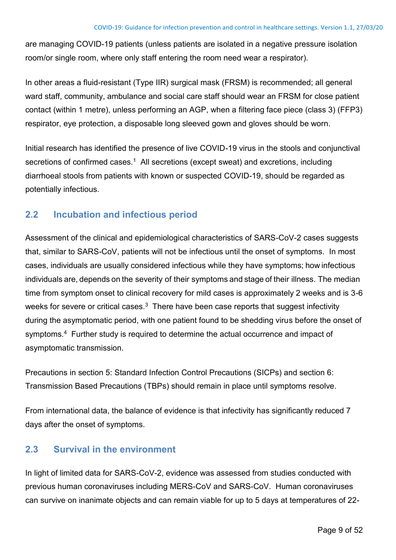are managing COVID-19 patients (unless patients are isolated in a negative pressure isolation room/or single room, where only staff entering the room need wear a respirator).

In other areas a fluid-resistant (Type IIR) surgical mask (FRSM) is recommended; all general ward staff, community, ambulance and social care staff should wear an FRSM for close patient contact (within 1 metre), unless performing an AGP, when a filtering face piece (class 3) (FFP3) respirator, eye protection, a disposable long sleeved gown and gloves should be worn.

Initial research has identified the presence of live COVID-19 virus in the stools and conjunctival secretions of confirmed cases. $^{\rm 1}$  All secretions (except sweat) and excretions, including diarrhoeal stools from patients with known or suspected COVID-19, should be regarded as potentially infectious.

#### <span id="page-8-0"></span>**2.2 Incubation and infectious period**

Assessment of the clinical and epidemiological characteristics of SARS-CoV-2 cases suggests that, similar to SARS-CoV, patients will not be infectious until the onset of symptoms. In most cases, individuals are usually considered infectious while they have symptoms; how infectious individuals are, depends on the severity of their symptoms and stage of their illness. The median time from symptom onset to clinical recovery for mild cases is approximately 2 weeks and is 3-6 weeks for severe or critical cases. $^3\,$  There have been case reports that suggest infectivity during the asymptomatic period, with one patient found to be shedding virus before the onset of symptoms.<sup>4</sup> Further study is required to determine the actual occurrence and impact of asymptomatic transmission.

Precautions in section [5:](#page-14-0) Standard Infection Control Precautions (SICPs) and section [6:](#page-21-0) Transmission Based Precautions (TBPs) should remain in place until symptoms resolve.

From international data, the balance of evidence is that infectivity has significantly reduced 7 days after the onset of symptoms.

#### <span id="page-8-1"></span>**2.3 Survival in the environment**

In light of limited data for SARS-CoV-2, evidence was assessed from studies conducted with previous human coronaviruses including MERS-CoV and SARS-CoV. Human coronaviruses can survive on inanimate objects and can remain viable for up to 5 days at temperatures of 22-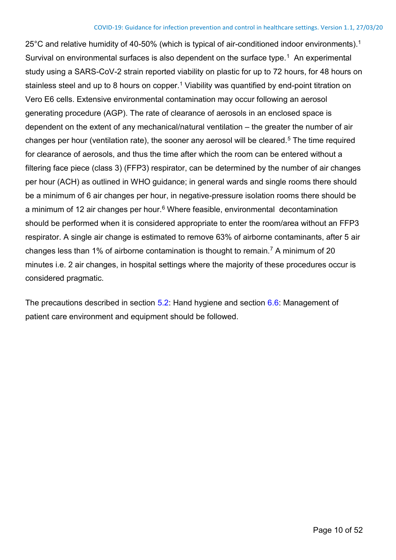25°C and relative humidity of 40-50% (which is typical of air-conditioned indoor environments). $^{\rm 1}$ Survival on environmental surfaces is also dependent on the surface type.<sup>1</sup> An experimental study using a SARS-CoV-2 strain reported viability on plastic for up to 72 hours, for 48 hours on stainless steel and up to 8 hours on copper.<sup>1</sup> Viability was quantified by end-point titration on Vero E6 cells. Extensive environmental contamination may occur following an aerosol generating procedure (AGP). The rate of clearance of aerosols in an enclosed space is dependent on the extent of any mechanical/natural ventilation – the greater the number of air changes per hour (ventilation rate), the sooner any aerosol will be cleared.<sup>5</sup> The time required for clearance of aerosols, and thus the time after which the room can be entered without a filtering face piece (class 3) (FFP3) respirator, can be determined by the number of air changes per hour (ACH) as outlined in WHO guidance; in general wards and single rooms there should be a minimum of 6 air changes per hour, in negative-pressure isolation rooms there should be a minimum of 12 air changes per hour.<sup>6</sup> Where feasible, environmental decontamination should be performed when it is considered appropriate to enter the room/area without an FFP3 respirator. A single air change is estimated to remove 63% of airborne contaminants, after 5 air changes less than 1% of airborne contamination is thought to remain.<sup>7</sup> A minimum of 20 minutes i.e. 2 air changes, in hospital settings where the majority of these procedures occur is considered pragmatic.

The precautions described in section [5.2:](#page-14-2) Hand hygiene and section [6.6:](#page-29-0) Management of patient care environment and equipment should be followed.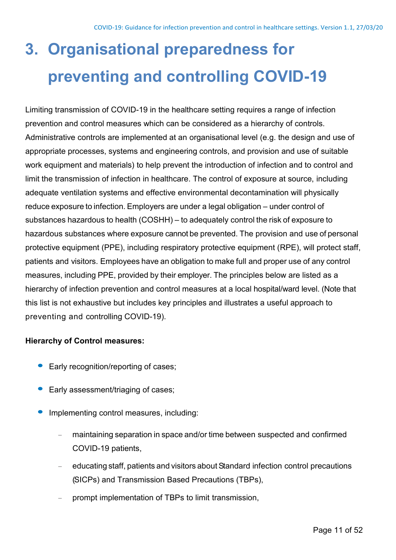# <span id="page-10-0"></span>**3. Organisational preparedness for preventing and controlling COVID-19**

Limiting transmission of COVID-19 in the healthcare setting requires a range of infection prevention and control measures which can be considered as a hierarchy of controls. Administrative controls are implemented at an organisational level (e.g. the design and use of appropriate processes, systems and engineering controls, and provision and use of suitable work equipment and materials) to help prevent the introduction of infection and to control and limit the transmission of infection in healthcare. The control of exposure at source, including adequate ventilation systems and effective environmental decontamination will physically reduce exposure to infection. Employers are under a legal obligation – under control of substances hazardous to health (COSHH) – to adequately control the risk of exposure to hazardous substances where exposure cannot be prevented. The provision and use of personal protective equipment (PPE), including respiratory protective equipment (RPE), will protect staff, patients and visitors. Employees have an obligation to make full and proper use of any control measures, including PPE, provided by their employer. The principles below are listed as a hierarchy of infection prevention and control measures at a local hospital/ward level. (Note that this list is not exhaustive but includes key principles and illustrates a useful approach to preventing and controlling COVID-19).

#### **Hierarchy of Control measures:**

- Early recognition/reporting of cases;
- Early assessment/triaging of cases;
- Implementing control measures, including:
	- maintaining separation in space and/or time between suspected and confirmed COVID-19 patients,
	- educating staff, patients and visitors about Standard infection control precautions (SICPs) and Transmission Based Precautions (TBPs),
	- prompt implementation of TBPs to limit transmission,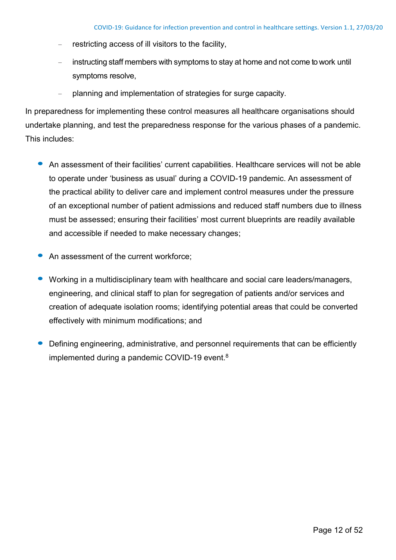- restricting access of ill visitors to the facility,
- instructing staff members with symptoms to stay at home and not come to work until symptoms resolve,
- planning and implementation of strategies for surge capacity.

In preparedness for implementing these control measures all healthcare organisations should undertake planning, and test the preparedness response for the various phases of a pandemic. This includes:

- An assessment of their facilities' current capabilities. Healthcare services will not be able to operate under 'business as usual' during a COVID-19 pandemic. An assessment of the practical ability to deliver care and implement control measures under the pressure of an exceptional number of patient admissions and reduced staff numbers due to illness must be assessed; ensuring their facilities' most current blueprints are readily available and accessible if needed to make necessary changes;
- An assessment of the current workforce;
- Working in a multidisciplinary team with healthcare and social care leaders/managers, engineering, and clinical staff to plan for segregation of patients and/or services and creation of adequate isolation rooms; identifying potential areas that could be converted effectively with minimum modifications; and
- Defining engineering, administrative, and personnel requirements that can be efficiently implemented during a pandemic COVID-19 event.<sup>8</sup>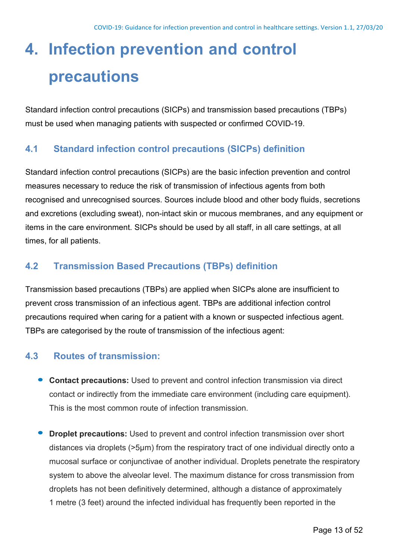# <span id="page-12-0"></span>**4. Infection prevention and control precautions**

Standard infection control precautions (SICPs) and transmission based precautions (TBPs) must be used when managing patients with suspected or confirmed COVID-19.

#### <span id="page-12-1"></span>**4.1 Standard infection control precautions (SICPs) definition**

Standard infection control precautions (SICPs) are the basic infection prevention and control measures necessary to reduce the risk of transmission of infectious agents from both recognised and unrecognised sources. Sources include blood and other body fluids, secretions and excretions (excluding sweat), non-intact skin or mucous membranes, and any equipment or items in the care environment. SICPs should be used by all staff, in all care settings, at all times, for all patients.

#### <span id="page-12-2"></span>**4.2 Transmission Based Precautions (TBPs) definition**

Transmission based precautions (TBPs) are applied when SICPs alone are insufficient to prevent cross transmission of an infectious agent. TBPs are additional infection control precautions required when caring for a patient with a known or suspected infectious agent. TBPs are categorised by the route of transmission of the infectious agent:

#### <span id="page-12-3"></span>**4.3 Routes of transmission:**

- **Contact precautions:** Used to prevent and control infection transmission via direct contact or indirectly from the immediate care environment (including care equipment). This is the most common route of infection transmission.
- **Droplet precautions:** Used to prevent and control infection transmission over short distances via droplets (>5μm) from the respiratory tract of one individual directly onto a mucosal surface or conjunctivae of another individual. Droplets penetrate the respiratory system to above the alveolar level. The maximum distance for cross transmission from droplets has not been definitively determined, although a distance of approximately 1 metre (3 feet) around the infected individual has frequently been reported in the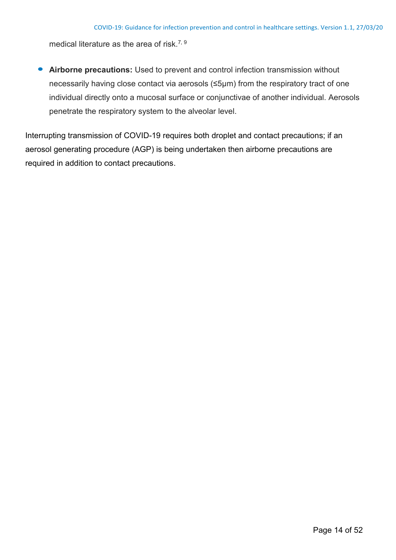medical literature as the area of risk.<sup>7, 9</sup>

● **Airborne precautions:** Used to prevent and control infection transmission without necessarily having close contact via aerosols (≤5μm) from the respiratory tract of one individual directly onto a mucosal surface or conjunctivae of another individual. Aerosols penetrate the respiratory system to the alveolar level.

Interrupting transmission of COVID-19 requires both droplet and contact precautions; if an aerosol generating procedure (AGP) is being undertaken then airborne precautions are required in addition to contact precautions.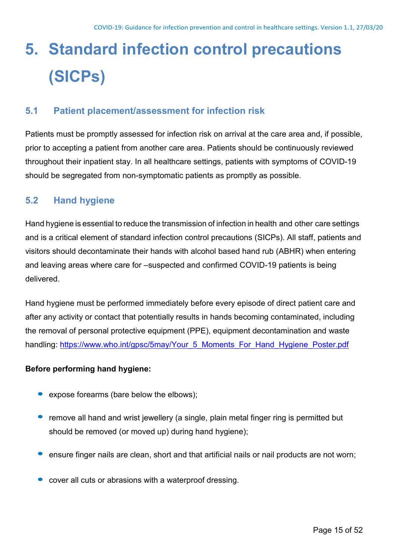# <span id="page-14-0"></span>**5. Standard infection control precautions (SICPs)**

#### <span id="page-14-1"></span>**5.1 Patient placement/assessment for infection risk**

Patients must be promptly assessed for infection risk on arrival at the care area and, if possible, prior to accepting a patient from another care area. Patients should be continuously reviewed throughout their inpatient stay. In all healthcare settings, patients with symptoms of COVID-19 should be segregated from non-symptomatic patients as promptly as possible.

#### <span id="page-14-2"></span>**5.2 Hand hygiene**

Hand hygiene is essential to reduce the transmission of infection in health and other care settings and is a critical element of standard infection control precautions (SICPs). All staff, patients and visitors should decontaminate their hands with alcohol based hand rub (ABHR) when entering and leaving areas where care for –suspected and confirmed COVID-19 patients is being delivered.

Hand hygiene must be performed immediately before every episode of direct patient care and after any activity or contact that potentially results in hands becoming contaminated, including the removal of personal protective equipment (PPE), equipment decontamination and waste handling: [https://www.who.int/gpsc/5may/Your\\_5\\_Moments\\_For\\_Hand\\_Hygiene\\_Poster.pdf](https://www.who.int/gpsc/5may/Your_5_Moments_For_Hand_Hygiene_Poster.pdf)

#### **Before performing hand hygiene:**

- expose forearms (bare below the elbows);
- remove all hand and wrist jewellery (a single, plain metal finger ring is permitted but should be removed (or moved up) during hand hygiene);
- ensure finger nails are clean, short and that artificial nails or nail products are not worn;
- cover all cuts or abrasions with a waterproof dressing.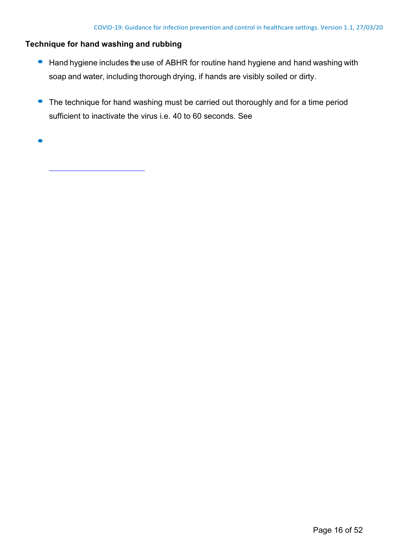#### **Technique for hand washing and rubbing**

- Hand hygiene includes the use of ABHR for routine hand hygiene and hand washing with soap and water, including thorough drying, if hands are visibly soiled or dirty.
- The technique for hand washing must be carried out thoroughly and for a time period sufficient to inactivate the virus i.e. 40 to 60 seconds. See

[●](#page-37-0)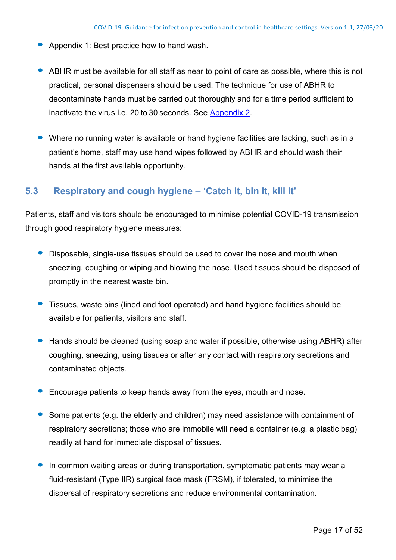- Appendix [1: Best practice how to hand wash.](#page-37-0)
- ABHR must be available for all staff as near to point of care as possible, where this is not practical, personal dispensers should be used. The technique for use of ABHR to decontaminate hands must be carried out thoroughly and for a time period sufficient to inactivate the virus i.e. 20 to 30 seconds. See [Appendix 2.](#page-39-1)
- Where no running water is available or hand hygiene facilities are lacking, such as in a patient's home, staff may use hand wipes followed by ABHR and should wash their hands at the first available opportunity.

#### <span id="page-16-0"></span>**5.3 Respiratory and cough hygiene – 'Catch it, bin it, kill it'**

Patients, staff and visitors should be encouraged to minimise potential COVID-19 transmission through good respiratory hygiene measures:

- Disposable, single-use tissues should be used to cover the nose and mouth when sneezing, coughing or wiping and blowing the nose. Used tissues should be disposed of promptly in the nearest waste bin.
- Tissues, waste bins (lined and foot operated) and hand hygiene facilities should be available for patients, visitors and staff.
- Hands should be cleaned (using soap and water if possible, otherwise using ABHR) after coughing, sneezing, using tissues or after any contact with respiratory secretions and contaminated objects.
- Encourage patients to keep hands away from the eyes, mouth and nose.
- Some patients (e.g. the elderly and children) may need assistance with containment of respiratory secretions; those who are immobile will need a container (e.g. a plastic bag) readily at hand for immediate disposal of tissues.
- In common waiting areas or during transportation, symptomatic patients may wear a fluid-resistant (Type IIR) surgical face mask (FRSM), if tolerated, to minimise the dispersal of respiratory secretions and reduce environmental contamination.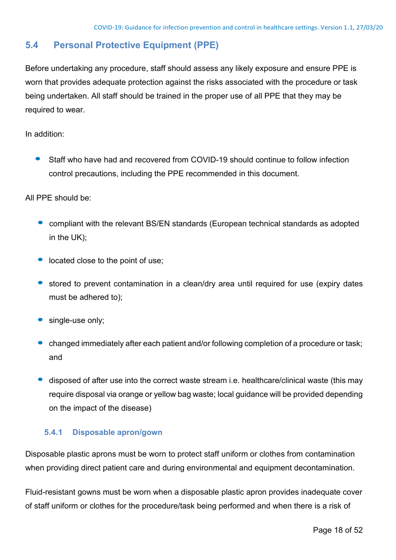#### <span id="page-17-0"></span>**5.4 Personal Protective Equipment (PPE)**

Before undertaking any procedure, staff should assess any likely exposure and ensure PPE is worn that provides adequate protection against the risks associated with the procedure or task being undertaken. All staff should be trained in the proper use of all PPE that they may be required to wear.

In addition:

Staff who have had and recovered from COVID-19 should continue to follow infection control precautions, including the PPE recommended in this document.

All PPE should be:

- compliant with the relevant BS/EN standards (European technical standards as adopted in the UK);
- located close to the point of use;
- stored to prevent contamination in a clean/dry area until required for use (expiry dates must be adhered to);
- single-use only;
- changed immediately after each patient and/or following completion of a procedure or task; and
- disposed of after use into the correct waste stream i.e. healthcare/clinical waste (this may require disposal via orange or yellow bag waste; local guidance will be provided depending on the impact of the disease)

#### <span id="page-17-1"></span>**5.4.1 Disposable apron/gown**

Disposable plastic aprons must be worn to protect staff uniform or clothes from contamination when providing direct patient care and during environmental and equipment decontamination.

Fluid-resistant gowns must be worn when a disposable plastic apron provides inadequate cover of staff uniform or clothes for the procedure/task being performed and when there is a risk of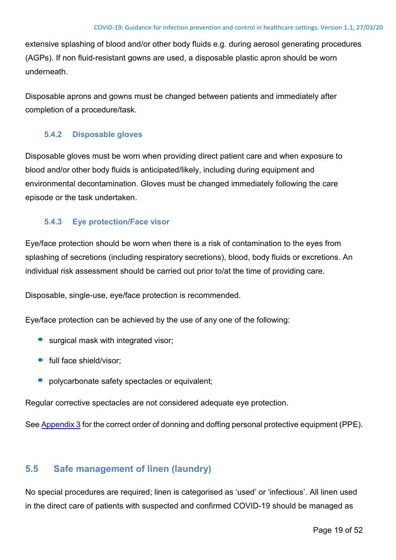extensive splashing of blood and/or other body fluids e.g. during aerosol generating procedures (AGPs). If non fluid-resistant gowns are used, a disposable plastic apron should be worn underneath.

Disposable aprons and gowns must be changed between patients and immediately after completion of a procedure/task.

#### <span id="page-18-0"></span>**5.4.2 Disposable gloves**

Disposable gloves must be worn when providing direct patient care and when exposure to blood and/or other body fluids is anticipated/likely, including during equipment and environmental decontamination. Gloves must be changed immediately following the care episode or the task undertaken.

#### <span id="page-18-1"></span>**5.4.3 Eye protection/Face visor**

Eye/face protection should be worn when there is a risk of contamination to the eyes from splashing of secretions (including respiratory secretions), blood, body fluids or excretions. An individual risk assessment should be carried out prior to/at the time of providing care.

Disposable, single-use, eye/face protection is recommended.

Eye/face protection can be achieved by the use of any one of the following:

- surgical mask with integrated visor;
- full face shield/visor:
- polycarbonate safety spectacles or equivalent;

Regular corrective spectacles are not considered adequate eye protection.

See [Appendix 3](#page-41-0) for the correct order of donning and doffing personal protective equipment (PPE).

#### <span id="page-18-2"></span>**5.5 Safe management of linen (laundry)**

No special procedures are required; linen is categorised as 'used' or 'infectious'. All linen used in the direct care of patients with suspected and confirmed COVID-19 should be managed as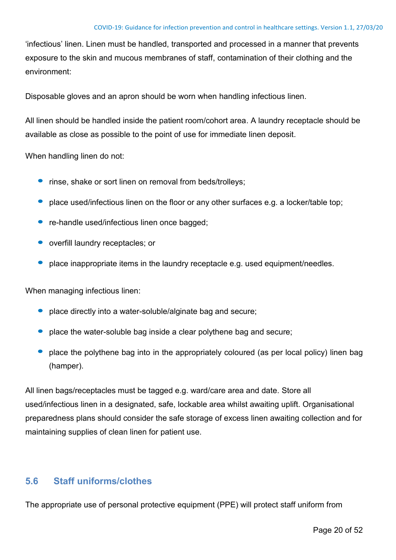'infectious' linen. Linen must be handled, transported and processed in a manner that prevents exposure to the skin and mucous membranes of staff, contamination of their clothing and the environment:

Disposable gloves and an apron should be worn when handling infectious linen.

All linen should be handled inside the patient room/cohort area. A laundry receptacle should be available as close as possible to the point of use for immediate linen deposit.

When handling linen do not:

- rinse, shake or sort linen on removal from beds/trolleys;
- place used/infectious linen on the floor or any other surfaces e.g. a locker/table top;
- re-handle used/infectious linen once bagged;
- overfill laundry receptacles; or
- place inappropriate items in the laundry receptacle e.g. used equipment/needles.

When managing infectious linen:

- place directly into a water-soluble/alginate bag and secure;
- place the water-soluble bag inside a clear polythene bag and secure;
- place the polythene bag into in the appropriately coloured (as per local policy) linen bag (hamper).

All linen bags/receptacles must be tagged e.g. ward/care area and date. Store all used/infectious linen in a designated, safe, lockable area whilst awaiting uplift. Organisational preparedness plans should consider the safe storage of excess linen awaiting collection and for maintaining supplies of clean linen for patient use.

#### <span id="page-19-0"></span>**5.6 Staff uniforms/clothes**

The appropriate use of personal protective equipment (PPE) will protect staff uniform from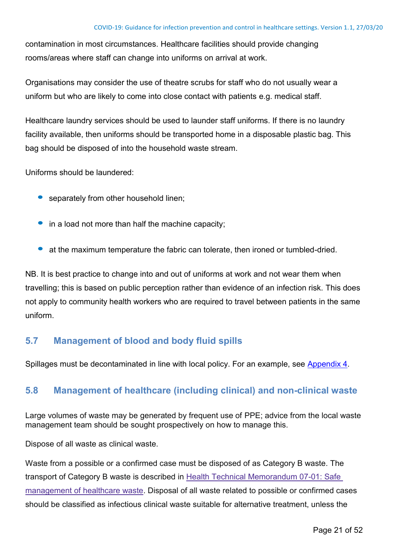contamination in most circumstances. Healthcare facilities should provide changing rooms/areas where staff can change into uniforms on arrival at work.

Organisations may consider the use of theatre scrubs for staff who do not usually wear a uniform but who are likely to come into close contact with patients e.g. medical staff.

Healthcare laundry services should be used to launder staff uniforms. If there is no laundry facility available, then uniforms should be transported home in a disposable plastic bag. This bag should be disposed of into the household waste stream.

Uniforms should be laundered:

- separately from other household linen;
- $\bullet$  in a load not more than half the machine capacity;
- at the maximum temperature the fabric can tolerate, then ironed or tumbled-dried.

NB. It is best practice to change into and out of uniforms at work and not wear them when travelling; this is based on public perception rather than evidence of an infection risk. This does not apply to community health workers who are required to travel between patients in the same uniform.

#### <span id="page-20-0"></span>**5.7 Management of blood and body fluid spills**

Spillages must be decontaminated in line with local policy. For an example, see [Appendix](#page-42-0) 4.

#### <span id="page-20-1"></span>**5.8 Management of healthcare (including clinical) and non-clinical waste**

Large volumes of waste may be generated by frequent use of PPE; advice from the local waste management team should be sought prospectively on how to manage this.

Dispose of all waste as clinical waste.

Waste from a possible or a confirmed case must be disposed of as Category B waste. The transport of Category B waste is described in Health Technical [Memorandum](https://www.gov.uk/government/publications/guidance-on-the-safe-management-of-healthcare-waste) 07-01: Safe [management](https://www.gov.uk/government/publications/guidance-on-the-safe-management-of-healthcare-waste) of healthcare waste. Disposal of all waste related to possible or confirmed cases should be classified as infectious clinical waste suitable for alternative treatment, unless the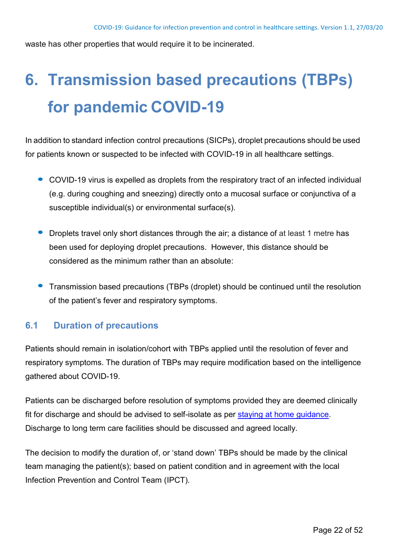waste has other properties that would require it to be incinerated.

### <span id="page-21-0"></span>**6. Transmission based precautions (TBPs) for pandemic COVID-19**

In addition to standard infection control precautions (SICPs), droplet precautions should be used for patients known or suspected to be infected with COVID-19 in all healthcare settings.

- COVID-19 virus is expelled as droplets from the respiratory tract of an infected individual (e.g. during coughing and sneezing) directly onto a mucosal surface or conjunctiva of a susceptible individual(s) or environmental surface(s).
- Droplets travel only short distances through the air; a distance of at least 1 metre has been used for deploying droplet precautions. However, this distance should be considered as the minimum rather than an absolute:
- Transmission based precautions (TBPs (droplet) should be continued until the resolution of the patient's fever and respiratory symptoms.

#### <span id="page-21-1"></span>**6.1 Duration of precautions**

Patients should remain in isolation/cohort with TBPs applied until the resolution of fever and respiratory symptoms. The duration of TBPs may require modification based on the intelligence gathered about COVID-19.

Patients can be discharged before resolution of symptoms provided they are deemed clinically fit for discharge and should be advised to self-isolate as per [staying at home](https://www.gov.uk/government/publications/covid-19-stay-at-home-guidance/stay-at-home-guidance-for-households-with-possible-coronavirus-covid-19-infection) guidance. Discharge to long term care facilities should be discussed and agreed locally.

The decision to modify the duration of, or 'stand down' TBPs should be made by the clinical team managing the patient(s); based on patient condition and in agreement with the local Infection Prevention and Control Team (IPCT).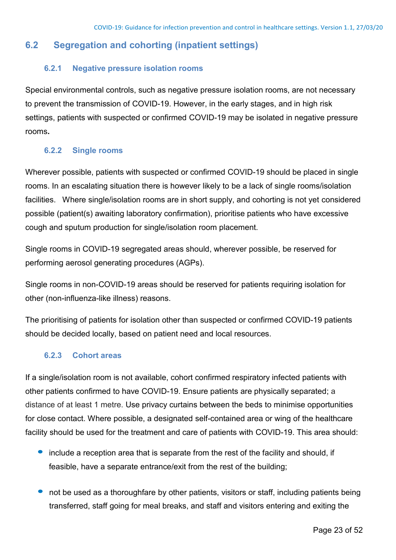#### <span id="page-22-0"></span>**6.2 Segregation and cohorting (inpatient settings)**

#### <span id="page-22-1"></span>**6.2.1 Negative pressure isolation rooms**

Special environmental controls, such as negative pressure isolation rooms, are not necessary to prevent the transmission of COVID-19. However, in the early stages, and in high risk settings, patients with suspected or confirmed COVID-19 may be isolated in negative pressure rooms**.** 

#### <span id="page-22-2"></span>**6.2.2 Single rooms**

Wherever possible, patients with suspected or confirmed COVID-19 should be placed in single rooms. In an escalating situation there is however likely to be a lack of single rooms/isolation facilities. Where single/isolation rooms are in short supply, and cohorting is not yet considered possible (patient(s) awaiting laboratory confirmation), prioritise patients who have excessive cough and sputum production for single/isolation room placement.

Single rooms in COVID-19 segregated areas should, wherever possible, be reserved for performing aerosol generating procedures (AGPs).

Single rooms in non-COVID-19 areas should be reserved for patients requiring isolation for other (non-influenza-like illness) reasons.

The prioritising of patients for isolation other than suspected or confirmed COVID-19 patients should be decided locally, based on patient need and local resources.

#### <span id="page-22-3"></span>**6.2.3 Cohort areas**

If a single/isolation room is not available, cohort confirmed respiratory infected patients with other patients confirmed to have COVID-19. Ensure patients are physically separated; a distance of at least 1 metre. Use privacy curtains between the beds to minimise opportunities for close contact. Where possible, a designated self-contained area or wing of the healthcare facility should be used for the treatment and care of patients with COVID-19. This area should:

- include a reception area that is separate from the rest of the facility and should, if feasible, have a separate entrance/exit from the rest of the building;
- not be used as a thoroughfare by other patients, visitors or staff, including patients being transferred, staff going for meal breaks, and staff and visitors entering and exiting the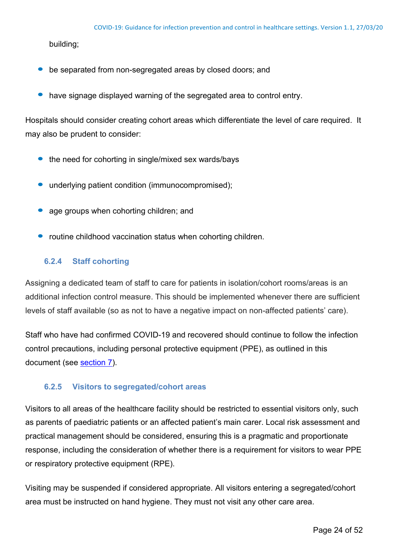building;

- be separated from non-segregated areas by closed doors; and
- have signage displayed warning of the segregated area to control entry.

Hospitals should consider creating cohort areas which differentiate the level of care required. It may also be prudent to consider:

- the need for cohorting in single/mixed sex wards/bays
- underlying patient condition (immunocompromised);
- age groups when cohorting children; and
- routine childhood vaccination status when cohorting children.

#### <span id="page-23-0"></span>**6.2.4 Staff cohorting**

Assigning a dedicated team of staff to care for patients in isolation/cohort rooms/areas is an additional infection control measure. This should be implemented whenever there are sufficient levels of staff available (so as not to have a negative impact on non-affected patients' care).

Staff who have had confirmed COVID-19 and recovered should continue to follow the infection control precautions, including personal protective equipment (PPE), as outlined in this document (see [section 7\)](#page-32-0).

#### <span id="page-23-1"></span>**6.2.5 Visitors to segregated/cohort areas**

Visitors to all areas of the healthcare facility should be restricted to essential visitors only, such as parents of paediatric patients or an affected patient's main carer. Local risk assessment and practical management should be considered, ensuring this is a pragmatic and proportionate response, including the consideration of whether there is a requirement for visitors to wear PPE or respiratory protective equipment (RPE).

Visiting may be suspended if considered appropriate. All visitors entering a segregated/cohort area must be instructed on hand hygiene. They must not visit any other care area.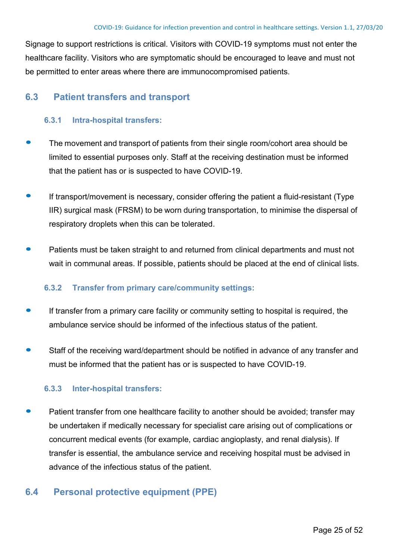Signage to support restrictions is critical. Visitors with COVID-19 symptoms must not enter the healthcare facility. Visitors who are symptomatic should be encouraged to leave and must not be permitted to enter areas where there are immunocompromised patients.

#### <span id="page-24-0"></span>**6.3 Patient transfers and transport**

#### <span id="page-24-1"></span>**6.3.1 Intra-hospital transfers:**

- The movement and transport of patients from their single room/cohort area should be limited to essential purposes only. Staff at the receiving destination must be informed that the patient has or is suspected to have COVID-19.
- If transport/movement is necessary, consider offering the patient a fluid-resistant (Type IIR) surgical mask (FRSM) to be worn during transportation, to minimise the dispersal of respiratory droplets when this can be tolerated.
- Patients must be taken straight to and returned from clinical departments and must not wait in communal areas. If possible, patients should be placed at the end of clinical lists.

#### <span id="page-24-2"></span>**6.3.2 Transfer from primary care/community settings:**

- If transfer from a primary care facility or community setting to hospital is required, the ambulance service should be informed of the infectious status of the patient.
- Staff of the receiving ward/department should be notified in advance of any transfer and must be informed that the patient has or is suspected to have COVID-19.

#### <span id="page-24-3"></span>**6.3.3 Inter-hospital transfers:**

Patient transfer from one healthcare facility to another should be avoided; transfer may be undertaken if medically necessary for specialist care arising out of complications or concurrent medical events (for example, cardiac angioplasty, and renal dialysis). If transfer is essential, the ambulance service and receiving hospital must be advised in advance of the infectious status of the patient.

#### <span id="page-24-4"></span>**6.4 Personal protective equipment (PPE)**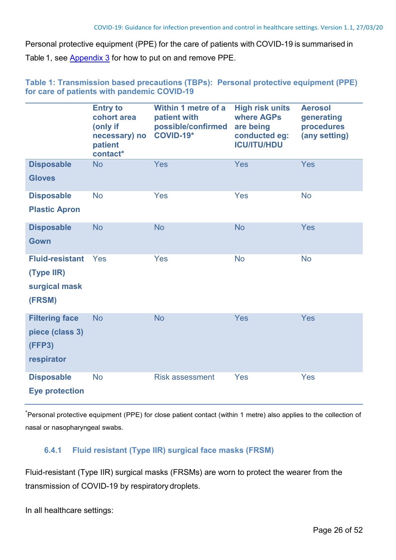<span id="page-25-1"></span>Personal protective equipment (PPE) for the care of patients with COVID-19 is summarised in Table 1, see [Appendix 3](#page-41-0) for how to put on and remove PPE.

**Table 1: Transmission based precautions (TBPs): Personal protective equipment (PPE) for care of patients with pandemic COVID-19**

|                                                                  | <b>Entry to</b><br>cohort area<br>(only if<br>necessary) no<br>patient<br>contact* | Within 1 metre of a<br>patient with<br>possible/confirmed<br><b>COVID-19*</b> | <b>High risk units</b><br>where AGPs<br>are being<br>conducted eg:<br><b>ICU/ITU/HDU</b> | <b>Aerosol</b><br>generating<br>procedures<br>(any setting) |
|------------------------------------------------------------------|------------------------------------------------------------------------------------|-------------------------------------------------------------------------------|------------------------------------------------------------------------------------------|-------------------------------------------------------------|
| <b>Disposable</b><br><b>Gloves</b>                               | <b>No</b>                                                                          | <b>Yes</b>                                                                    | Yes                                                                                      | <b>Yes</b>                                                  |
| <b>Disposable</b><br><b>Plastic Apron</b>                        | <b>No</b>                                                                          | Yes                                                                           | Yes                                                                                      | <b>No</b>                                                   |
| <b>Disposable</b><br><b>Gown</b>                                 | <b>No</b>                                                                          | <b>No</b>                                                                     | <b>No</b>                                                                                | <b>Yes</b>                                                  |
| <b>Fluid-resistant</b><br>(Type IIR)<br>surgical mask<br>(FRSM)  | Yes                                                                                | <b>Yes</b>                                                                    | <b>No</b>                                                                                | <b>No</b>                                                   |
| <b>Filtering face</b><br>piece (class 3)<br>(FFP3)<br>respirator | <b>No</b>                                                                          | <b>No</b>                                                                     | Yes                                                                                      | <b>Yes</b>                                                  |
| <b>Disposable</b><br><b>Eye protection</b>                       | <b>No</b>                                                                          | <b>Risk assessment</b>                                                        | Yes                                                                                      | <b>Yes</b>                                                  |

\*Personal protective equipment (PPE) for close patient contact (within 1 metre) also applies to the collection of nasal or nasopharyngeal swabs.

#### <span id="page-25-0"></span>**6.4.1 Fluid resistant (Type IIR) surgical face masks (FRSM)**

Fluid-resistant (Type IIR) surgical masks (FRSMs) are worn to protect the wearer from the transmission of COVID-19 by respiratory droplets.

In all healthcare settings: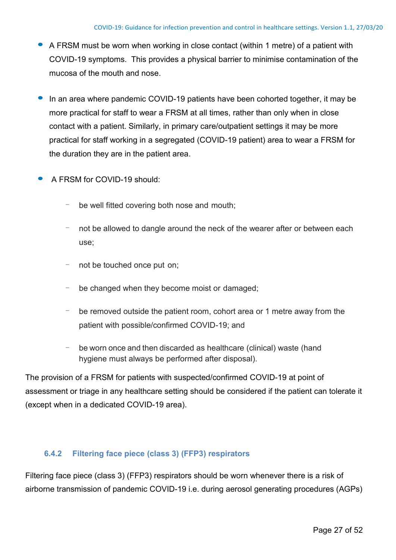- A FRSM must be worn when working in close contact (within 1 metre) of a patient with COVID-19 symptoms. This provides a physical barrier to minimise contamination of the mucosa of the mouth and nose.
- In an area where pandemic COVID-19 patients have been cohorted together, it may be more practical for staff to wear a FRSM at all times, rather than only when in close contact with a patient. Similarly, in primary care/outpatient settings it may be more practical for staff working in a segregated (COVID-19 patient) area to wear a FRSM for the duration they are in the patient area.
- A FRSM for COVID-19 should:
	- be well fitted covering both nose and mouth;
	- not be allowed to dangle around the neck of the wearer after or between each use;
	- not be touched once put on;
	- be changed when they become moist or damaged;
	- be removed outside the patient room, cohort area or 1 metre away from the patient with possible/confirmed COVID-19; and
	- be worn once and then discarded as healthcare (clinical) waste (hand hygiene must always be performed after disposal).

The provision of a FRSM for patients with suspected/confirmed COVID-19 at point of assessment or triage in any healthcare setting should be considered if the patient can tolerate it (except when in a dedicated COVID-19 area).

#### <span id="page-26-0"></span>**6.4.2 Filtering face piece (class 3) (FFP3) respirators**

Filtering face piece (class 3) (FFP3) respirators should be worn whenever there is a risk of airborne transmission of pandemic COVID-19 i.e. during aerosol generating procedures (AGPs)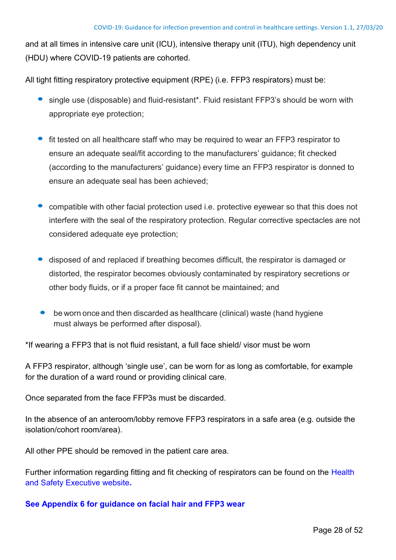and at all times in intensive care unit (ICU), intensive therapy unit (ITU), high dependency unit (HDU) where COVID-19 patients are cohorted.

All tight fitting respiratory protective equipment (RPE) (i.e. FFP3 respirators) must be:

- single use (disposable) and fluid-resistant<sup>\*</sup>. Fluid resistant FFP3's should be worn with appropriate eye protection;
- fit tested on all healthcare staff who may be required to wear an FFP3 respirator to ensure an adequate seal/fit according to the manufacturers' guidance; fit checked (according to the manufacturers' guidance) every time an FFP3 respirator is donned to ensure an adequate seal has been achieved;
- compatible with other facial protection used i.e. protective eyewear so that this does not interfere with the seal of the respiratory protection. Regular corrective spectacles are not considered adequate eye protection;
- disposed of and replaced if breathing becomes difficult, the respirator is damaged or distorted, the respirator becomes obviously contaminated by respiratory secretions or other body fluids, or if a proper face fit cannot be maintained; and
- be worn once and then discarded as healthcare (clinical) waste (hand hygiene must always be performed after disposal).

\*If wearing a FFP3 that is not fluid resistant, a full face shield/ visor must be worn

A FFP3 respirator, although 'single use', can be worn for as long as comfortable, for example for the duration of a ward round or providing clinical care.

Once separated from the face FFP3s must be discarded.

In the absence of an anteroom/lobby remove FFP3 respirators in a safe area (e.g. outside the isolation/cohort room/area).

All other PPE should be removed in the patient care area.

Further information regarding fitting and fit checking of respirators can be found on the [Health](http://www.hse.gov.uk/respiratory-protective-equipment/basics.htm)  and [Safety Executive website](http://www.hse.gov.uk/respiratory-protective-equipment/basics.htm)**.**

#### **See Appendix 6 for guidance on facial hair and FFP3 wear**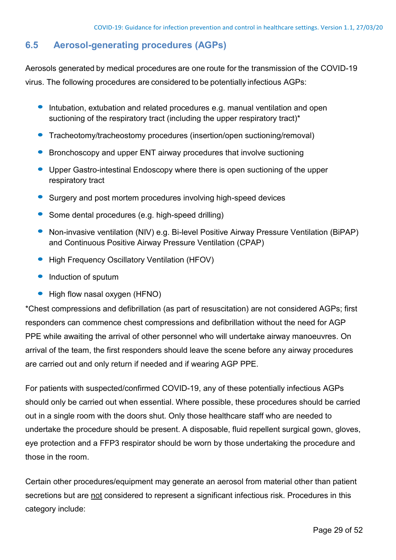#### <span id="page-28-0"></span>**6.5 Aerosol-generating procedures (AGPs)**

Aerosols generated by medical procedures are one route for the transmission of the COVID-19 virus. The following procedures are considered to be potentially infectious AGPs:

- Intubation, extubation and related procedures e.g. manual ventilation and open suctioning of the respiratory tract (including the upper respiratory tract)\*
- Tracheotomy/tracheostomy procedures (insertion/open suctioning/removal)
- Bronchoscopy and upper ENT airway procedures that involve suctioning
- Upper Gastro-intestinal Endoscopy where there is open suctioning of the upper respiratory tract
- Surgery and post mortem procedures involving high-speed devices
- Some dental procedures (e.g. high-speed drilling)
- Non-invasive ventilation (NIV) e.g. Bi-level Positive Airway Pressure Ventilation (BiPAP) and Continuous Positive Airway Pressure Ventilation (CPAP)
- High Frequency Oscillatory Ventilation (HFOV)
- Induction of sputum
- High flow nasal oxygen (HFNO)

\*Chest compressions and defibrillation (as part of resuscitation) are not considered AGPs; first responders can commence chest compressions and defibrillation without the need for AGP PPE while awaiting the arrival of other personnel who will undertake airway manoeuvres. On arrival of the team, the first responders should leave the scene before any airway procedures are carried out and only return if needed and if wearing AGP PPE.

For patients with suspected/confirmed COVID-19, any of these potentially infectious AGPs should only be carried out when essential. Where possible, these procedures should be carried out in a single room with the doors shut. Only those healthcare staff who are needed to undertake the procedure should be present. A disposable, fluid repellent surgical gown, gloves, eye protection and a FFP3 respirator should be worn by those undertaking the procedure and those in the room.

Certain other procedures/equipment may generate an aerosol from material other than patient secretions but are not considered to represent a significant infectious risk. Procedures in this category include: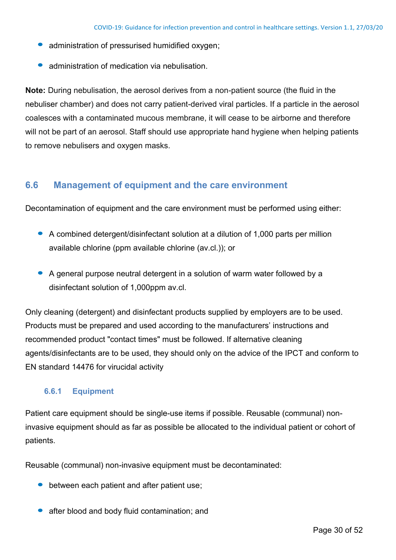- administration of pressurised humidified oxygen;
- administration of medication via nebulisation.

**Note:** During nebulisation, the aerosol derives from a non-patient source (the fluid in the nebuliser chamber) and does not carry patient-derived viral particles. If a particle in the aerosol coalesces with a contaminated mucous membrane, it will cease to be airborne and therefore will not be part of an aerosol. Staff should use appropriate hand hygiene when helping patients to remove nebulisers and oxygen masks.

#### <span id="page-29-0"></span>**6.6 Management of equipment and the care environment**

Decontamination of equipment and the care environment must be performed using either:

- A combined detergent/disinfectant solution at a dilution of 1,000 parts per million available chlorine (ppm available chlorine (av.cl.)); or
- A general purpose neutral detergent in a solution of warm water followed by a disinfectant solution of 1,000ppm av.cl.

Only cleaning (detergent) and disinfectant products supplied by employers are to be used. Products must be prepared and used according to the manufacturers' instructions and recommended product "contact times" must be followed. If alternative cleaning agents/disinfectants are to be used, they should only on the advice of the IPCT and conform to EN standard 14476 for virucidal activity

#### <span id="page-29-1"></span>**6.6.1 Equipment**

Patient care equipment should be single-use items if possible. Reusable (communal) noninvasive equipment should as far as possible be allocated to the individual patient or cohort of patients.

Reusable (communal) non-invasive equipment must be decontaminated:

- between each patient and after patient use;
- after blood and body fluid contamination; and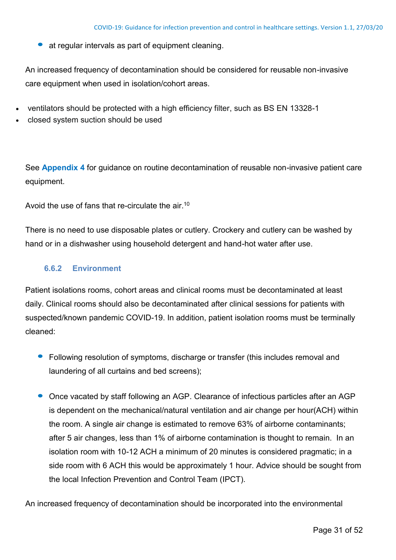• at regular intervals as part of equipment cleaning.

An increased frequency of decontamination should be considered for reusable non-invasive care equipment when used in isolation/cohort areas.

- ventilators should be protected with a high efficiency filter, such as BS EN 13328-1
- closed system suction should be used

See **Appendix 4** for guidance on routine decontamination of reusable non-invasive patient care equipment.

Avoid the use of fans that re-circulate the air.<sup>10</sup>

There is no need to use disposable plates or cutlery. Crockery and cutlery can be washed by hand or in a dishwasher using household detergent and hand-hot water after use.

#### <span id="page-30-0"></span>**6.6.2 Environment**

Patient isolations rooms, cohort areas and clinical rooms must be decontaminated at least daily. Clinical rooms should also be decontaminated after clinical sessions for patients with suspected/known pandemic COVID-19. In addition, patient isolation rooms must be terminally cleaned:

- Following resolution of symptoms, discharge or transfer (this includes removal and laundering of all curtains and bed screens);
- Once vacated by staff following an AGP. Clearance of infectious particles after an AGP is dependent on the mechanical/natural ventilation and air change per hour(ACH) within the room. A single air change is estimated to remove 63% of airborne contaminants; after 5 air changes, less than 1% of airborne contamination is thought to remain. In an isolation room with 10-12 ACH a minimum of 20 minutes is considered pragmatic; in a side room with 6 ACH this would be approximately 1 hour. Advice should be sought from the local Infection Prevention and Control Team (IPCT).

An increased frequency of decontamination should be incorporated into the environmental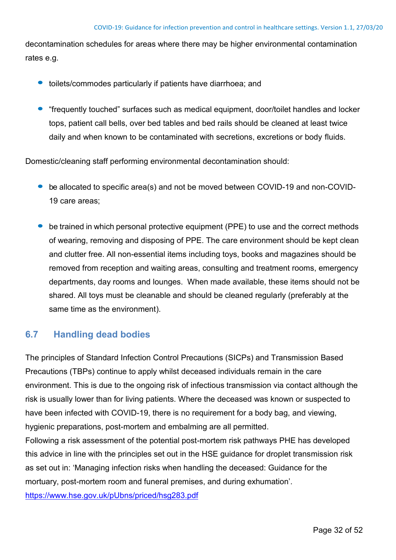decontamination schedules for areas where there may be higher environmental contamination rates e.g.

- toilets/commodes particularly if patients have diarrhoea; and
- "frequently touched" surfaces such as medical equipment, door/toilet handles and locker tops, patient call bells, over bed tables and bed rails should be cleaned at least twice daily and when known to be contaminated with secretions, excretions or body fluids.

Domestic/cleaning staff performing environmental decontamination should:

- be allocated to specific area(s) and not be moved between COVID-19 and non-COVID-19 care areas;
- be trained in which personal protective equipment (PPE) to use and the correct methods of wearing, removing and disposing of PPE. The care environment should be kept clean and clutter free. All non-essential items including toys, books and magazines should be removed from reception and waiting areas, consulting and treatment rooms, emergency departments, day rooms and lounges. When made available, these items should not be shared. All toys must be cleanable and should be cleaned regularly (preferably at the same time as the environment).

#### <span id="page-31-0"></span>**6.7 Handling dead bodies**

The principles of Standard Infection Control Precautions (SICPs) and Transmission Based Precautions (TBPs) continue to apply whilst deceased individuals remain in the care environment. This is due to the ongoing risk of infectious transmission via contact although the risk is usually lower than for living patients. Where the deceased was known or suspected to have been infected with COVID-19, there is no requirement for a body bag, and viewing, hygienic preparations, post-mortem and embalming are all permitted.

Following a risk assessment of the potential post-mortem risk pathways PHE has developed this advice in line with the principles set out in the HSE guidance for droplet transmission risk as set out in: 'Managing infection risks when handling the deceased: Guidance for the mortuary, post-mortem room and funeral premises, and during exhumation'.

<https://www.hse.gov.uk/pUbns/priced/hsg283.pdf>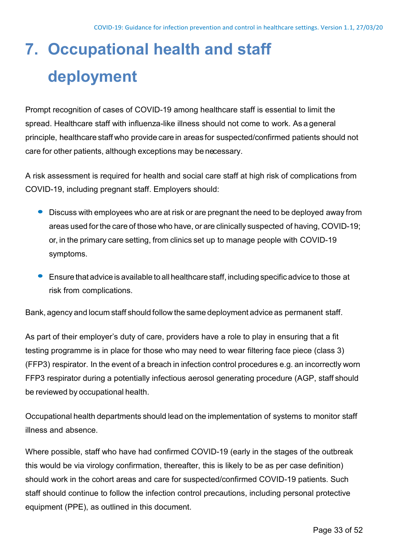# <span id="page-32-0"></span>**7. Occupational health and staff deployment**

Prompt recognition of cases of COVID-19 among healthcare staff is essential to limit the spread. Healthcare staff with influenza-like illness should not come to work. As a general principle, healthcare staff who provide care in areas for suspected/confirmed patients should not care for other patients, although exceptions may be necessary.

A risk assessment is required for health and social care staff at high risk of complications from COVID-19, including pregnant staff. Employers should:

- Discuss with employees who are at risk or are pregnant the need to be deployed away from areas used for the care of those who have, or are clinically suspected of having, COVID-19; or, in the primary care setting, from clinics set up to manage people with COVID-19 symptoms.
- Ensure that advice is available to all healthcare staff, including specific advice to those at risk from complications.

Bank, agency and locum staff should follow the same deployment advice as permanent staff.

As part of their employer's duty of care, providers have a role to play in ensuring that a fit testing programme is in place for those who may need to wear filtering face piece (class 3) (FFP3) respirator. In the event of a breach in infection control procedures e.g. an incorrectly worn FFP3 respirator during a potentially infectious aerosol generating procedure (AGP, staff should be reviewed by occupational health.

Occupational health departments should lead on the implementation of systems to monitor staff illness and absence.

Where possible, staff who have had confirmed COVID-19 (early in the stages of the outbreak this would be via virology confirmation, thereafter, this is likely to be as per case definition) should work in the cohort areas and care for suspected/confirmed COVID-19 patients. Such staff should continue to follow the infection control precautions, including personal protective equipment (PPE), as outlined in this document.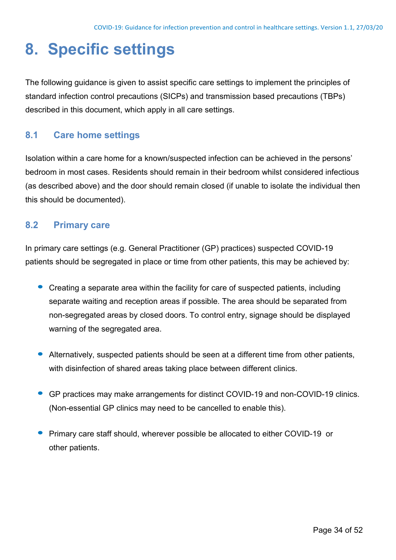### <span id="page-33-0"></span>**8. Specific settings**

The following guidance is given to assist specific care settings to implement the principles of standard infection control precautions (SICPs) and transmission based precautions (TBPs) described in this document, which apply in all care settings.

#### <span id="page-33-1"></span>**8.1 Care home settings**

Isolation within a care home for a known/suspected infection can be achieved in the persons' bedroom in most cases. Residents should remain in their bedroom whilst considered infectious (as described above) and the door should remain closed (if unable to isolate the individual then this should be documented).

#### <span id="page-33-2"></span>**8.2 Primary care**

In primary care settings (e.g. General Practitioner (GP) practices) suspected COVID-19 patients should be segregated in place or time from other patients, this may be achieved by:

- Creating a separate area within the facility for care of suspected patients, including separate waiting and reception areas if possible. The area should be separated from non-segregated areas by closed doors. To control entry, signage should be displayed warning of the segregated area.
- Alternatively, suspected patients should be seen at a different time from other patients, with disinfection of shared areas taking place between different clinics.
- GP practices may make arrangements for distinct COVID-19 and non-COVID-19 clinics. (Non-essential GP clinics may need to be cancelled to enable this).
- Primary care staff should, wherever possible be allocated to either COVID-19 or other patients.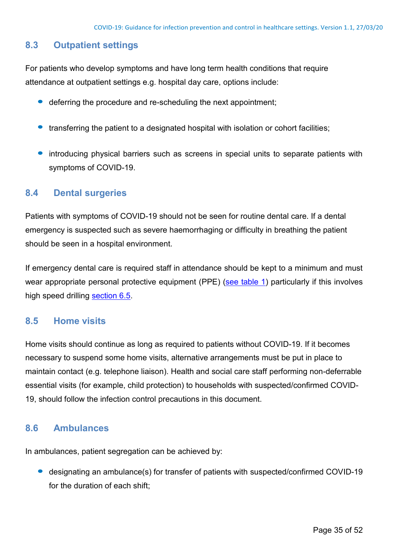#### <span id="page-34-0"></span>**8.3 Outpatient settings**

For patients who develop symptoms and have long term health conditions that require attendance at outpatient settings e.g. hospital day care, options include:

- deferring the procedure and re-scheduling the next appointment;
- transferring the patient to a designated hospital with isolation or cohort facilities;
- introducing physical barriers such as screens in special units to separate patients with symptoms of COVID-19.

#### <span id="page-34-1"></span>**8.4 Dental surgeries**

Patients with symptoms of COVID-19 should not be seen for routine dental care. If a dental emergency is suspected such as severe haemorrhaging or difficulty in breathing the patient should be seen in a hospital environment.

If emergency dental care is required staff in attendance should be kept to a minimum and must wear appropriate personal protective equipment (PPE) [\(see table 1\)](#page-25-1) particularly if this involves high speed drilling [section 6.5.](#page-28-0)

#### <span id="page-34-2"></span>**8.5 Home visits**

Home visits should continue as long as required to patients without COVID-19. If it becomes necessary to suspend some home visits, alternative arrangements must be put in place to maintain contact (e.g. telephone liaison). Health and social care staff performing non-deferrable essential visits (for example, child protection) to households with suspected/confirmed COVID-19, should follow the infection control precautions in this document.

#### <span id="page-34-3"></span>**8.6 Ambulances**

In ambulances, patient segregation can be achieved by:

● designating an ambulance(s) for transfer of patients with suspected/confirmed COVID-19 for the duration of each shift;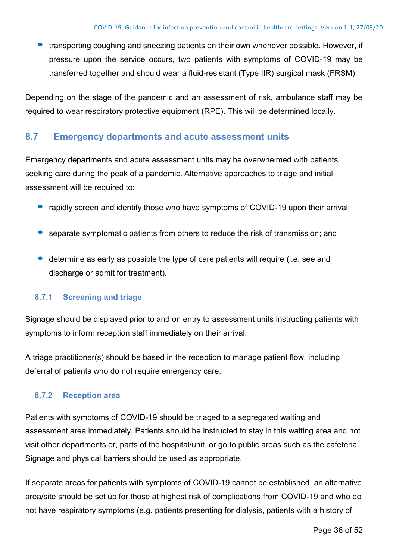● transporting coughing and sneezing patients on their own whenever possible. However, if pressure upon the service occurs, two patients with symptoms of COVID-19 may be transferred together and should wear a fluid-resistant (Type IIR) surgical mask (FRSM).

Depending on the stage of the pandemic and an assessment of risk, ambulance staff may be required to wear respiratory protective equipment (RPE). This will be determined locally.

#### <span id="page-35-0"></span>**8.7 Emergency departments and acute assessment units**

Emergency departments and acute assessment units may be overwhelmed with patients seeking care during the peak of a pandemic. Alternative approaches to triage and initial assessment will be required to:

- rapidly screen and identify those who have symptoms of COVID-19 upon their arrival;
- separate symptomatic patients from others to reduce the risk of transmission; and
- determine as early as possible the type of care patients will require (i.e. see and discharge or admit for treatment).

#### <span id="page-35-1"></span>**8.7.1 Screening and triage**

Signage should be displayed prior to and on entry to assessment units instructing patients with symptoms to inform reception staff immediately on their arrival.

A triage practitioner(s) should be based in the reception to manage patient flow, including deferral of patients who do not require emergency care.

#### <span id="page-35-2"></span>**8.7.2 Reception area**

Patients with symptoms of COVID-19 should be triaged to a segregated waiting and assessment area immediately. Patients should be instructed to stay in this waiting area and not visit other departments or, parts of the hospital/unit, or go to public areas such as the cafeteria. Signage and physical barriers should be used as appropriate.

If separate areas for patients with symptoms of COVID-19 cannot be established, an alternative area/site should be set up for those at highest risk of complications from COVID-19 and who do not have respiratory symptoms (e.g. patients presenting for dialysis, patients with a history of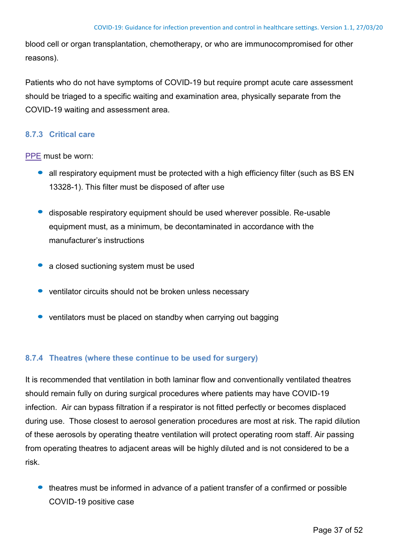blood cell or organ transplantation, chemotherapy, or who are immunocompromised for other reasons).

Patients who do not have symptoms of COVID-19 but require prompt acute care assessment should be triaged to a specific waiting and examination area, physically separate from the COVID-19 waiting and assessment area.

#### <span id="page-36-0"></span>**8.7.3 Critical care**

[PPE](https://www.gov.uk/government/publications/wuhan-novel-coronavirus-infection-prevention-and-control/wuhan-novel-coronavirus-wn-cov-infection-prevention-and-control-guidance#PPE) must be worn:

- all respiratory equipment must be protected with a high efficiency filter (such as BS EN 13328-1). This filter must be disposed of after use
- disposable respiratory equipment should be used wherever possible. Re-usable equipment must, as a minimum, be decontaminated in accordance with the manufacturer's instructions
- a closed suctioning system must be used
- ventilator circuits should not be broken unless necessary
- ventilators must be placed on standby when carrying out bagging

#### <span id="page-36-1"></span>**8.7.4 Theatres (where these continue to be used for surgery)**

It is recommended that ventilation in both laminar flow and conventionally ventilated theatres should remain fully on during surgical procedures where patients may have COVID-19 infection. Air can bypass filtration if a respirator is not fitted perfectly or becomes displaced during use. Those closest to aerosol generation procedures are most at risk. The rapid dilution of these aerosols by operating theatre ventilation will protect operating room staff. Air passing from operating theatres to adjacent areas will be highly diluted and is not considered to be a risk.

● theatres must be informed in advance of a patient transfer of a confirmed or possible COVID-19 positive case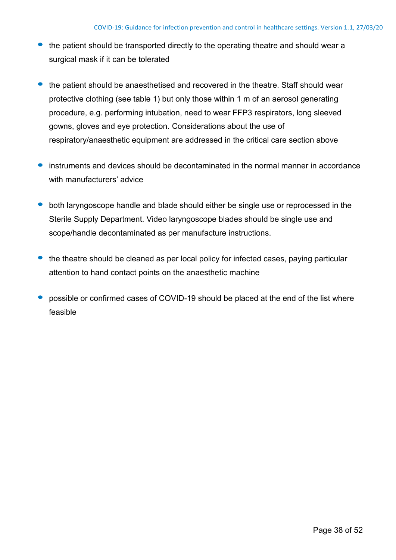- the patient should be transported directly to the operating theatre and should wear a surgical mask if it can be tolerated
- the patient should be anaesthetised and recovered in the theatre. Staff should wear protective clothing (see table 1) but only those within 1 m of an aerosol generating procedure, e.g. performing intubation, need to wear FFP3 respirators, long sleeved gowns, gloves and eye protection. Considerations about the use of respiratory/anaesthetic equipment are addressed in the critical care section above
- instruments and devices should be decontaminated in the normal manner in accordance with manufacturers' advice
- both laryngoscope handle and blade should either be single use or reprocessed in the Sterile Supply Department. Video laryngoscope blades should be single use and scope/handle decontaminated as per manufacture instructions.
- the theatre should be cleaned as per local policy for infected cases, paying particular attention to hand contact points on the anaesthetic machine
- <span id="page-37-0"></span>possible or confirmed cases of COVID-19 should be placed at the end of the list where feasible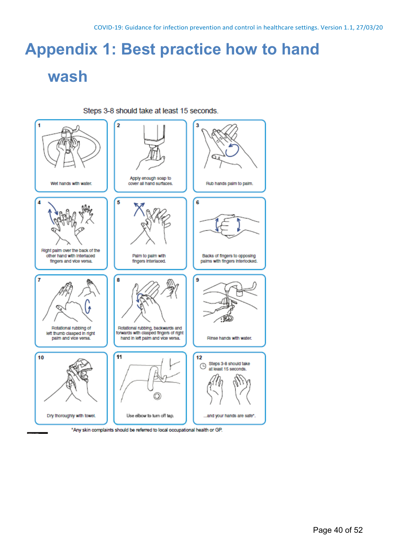# <span id="page-39-0"></span>**Appendix 1: Best practice how to hand**

**wash**

Steps 3-8 should take at least 15 seconds.



<span id="page-39-1"></span>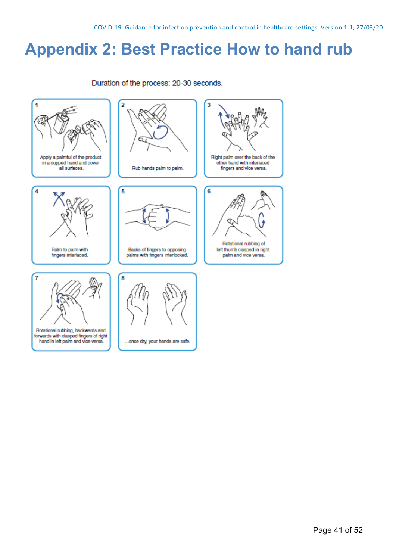### <span id="page-40-0"></span>**Appendix 2: Best Practice How to hand rub**

Duration of the process: 20-30 seconds.

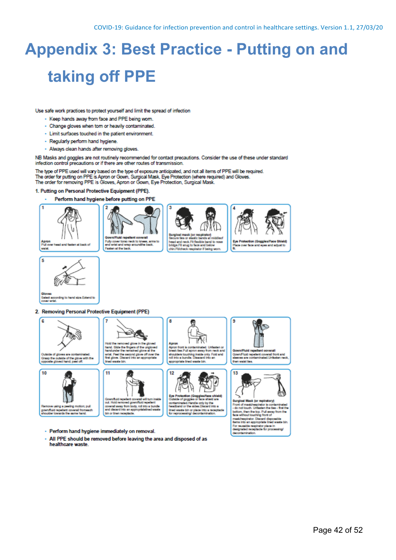# <span id="page-41-0"></span>**Appendix 3: Best Practice - Putting on and taking off PPE**

Use safe work practices to protect yourself and limit the spread of infection

- Keep hands away from face and PPE being wom.
- Change gloves when tom or heavily contaminated.
- Limit surfaces touched in the patient environment.
- Regularly perform hand hygiene.
- Always clean hands after removing gloves.

NB Masks and goggles are not routinely recommended for contact precautions. Consider the use of these under standard infection control precautions or if there are other routes of transmission.

The type of PPE used will vary based on the type of exposure anticipated, and not all items of PPE will be required.<br>The order for putting on PPE is Apron or Gown, Surgical Mask, Eye Protection (where required) and Gloves.

#### 1. Putting on Personal Protective Equipment (PPE).











G ding to hand size. Extend to

#### 2. Removing Personal Protective Equipment (PPE)















auch. Um n the ties - find th de n, then the top. Pull av w from the tout touching front of mask/respirator. Discard disposable<br>terns into an appropriate lined waste for reusable respirator place in<br>Sesignated receptacle for processing

- Perform hand hygiene immediately on removal.

11

×٤

and d

All PPE should be removed before leaving the area and disposed of as healthcare waste.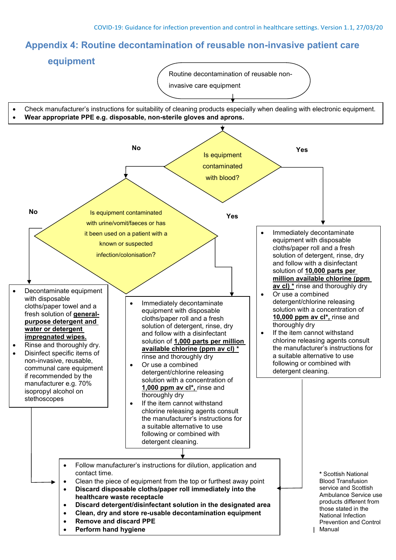#### <span id="page-42-0"></span>**Appendix 4: Routine decontamination of reusable non-invasive patient care**

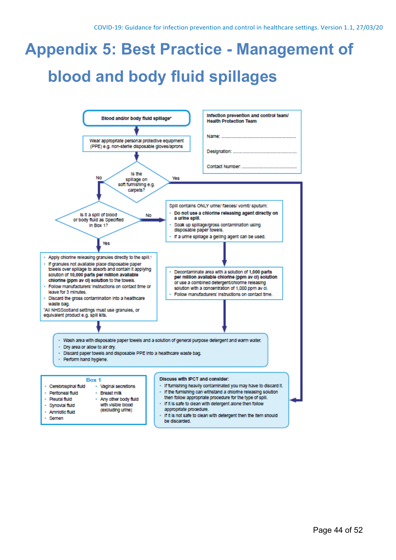# <span id="page-43-0"></span>**Appendix 5: Best Practice - Management of blood and body fluid spillages**

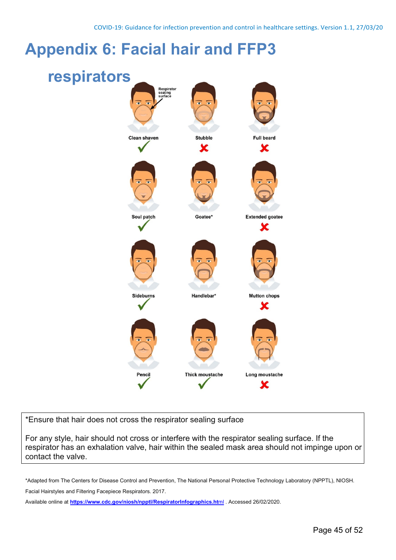### <span id="page-44-0"></span>**Appendix 6: Facial hair and FFP3**



\*Ensure that hair does not cross the respirator sealing surface

For any style, hair should not cross or interfere with the respirator sealing surface. If the respirator has an exhalation valve, hair within the sealed mask area should not impinge upon or contact the valve.

\*Adapted from The Centers for Disease Control and Prevention, The National Personal Protective Technology Laboratory (NPPTL), NIOSH. Facial Hairstyles and Filtering Facepiece Respirators. 2017.

Available online at **[https://www.cdc.gov/niosh/npptl/RespiratorInfographics.ht](https://www.cdc.gov/niosh/npptl/RespiratorInfographics.html)**ml . Accessed 26/02/2020.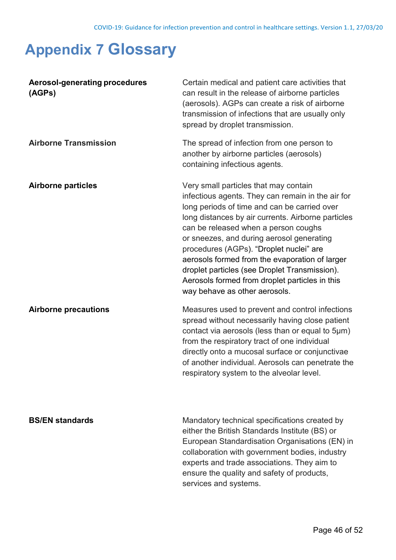### <span id="page-45-0"></span>**Appendix 7 Glossary**

| <b>Aerosol-generating procedures</b><br>(AGPs) | Certain medical and patient care activities that<br>can result in the release of airborne particles<br>(aerosols). AGPs can create a risk of airborne<br>transmission of infections that are usually only<br>spread by droplet transmission.                                                                                                                                                                                                                                                                           |
|------------------------------------------------|------------------------------------------------------------------------------------------------------------------------------------------------------------------------------------------------------------------------------------------------------------------------------------------------------------------------------------------------------------------------------------------------------------------------------------------------------------------------------------------------------------------------|
| <b>Airborne Transmission</b>                   | The spread of infection from one person to<br>another by airborne particles (aerosols)<br>containing infectious agents.                                                                                                                                                                                                                                                                                                                                                                                                |
| <b>Airborne particles</b>                      | Very small particles that may contain<br>infectious agents. They can remain in the air for<br>long periods of time and can be carried over<br>long distances by air currents. Airborne particles<br>can be released when a person coughs<br>or sneezes, and during aerosol generating<br>procedures (AGPs). "Droplet nuclei" are<br>aerosols formed from the evaporation of larger<br>droplet particles (see Droplet Transmission).<br>Aerosols formed from droplet particles in this<br>way behave as other aerosols. |
| <b>Airborne precautions</b>                    | Measures used to prevent and control infections<br>spread without necessarily having close patient<br>contact via aerosols (less than or equal to 5µm)<br>from the respiratory tract of one individual<br>directly onto a mucosal surface or conjunctivae<br>of another individual. Aerosols can penetrate the<br>respiratory system to the alveolar level.                                                                                                                                                            |
| <b>BS/EN standards</b>                         | Mandatory technical specifications created by<br>either the British Standards Institute (BS) or<br>European Standardisation Organisations (EN) in<br>collaboration with government bodies, industry<br>experts and trade associations. They aim to<br>ensure the quality and safety of products,<br>services and systems.                                                                                                                                                                                              |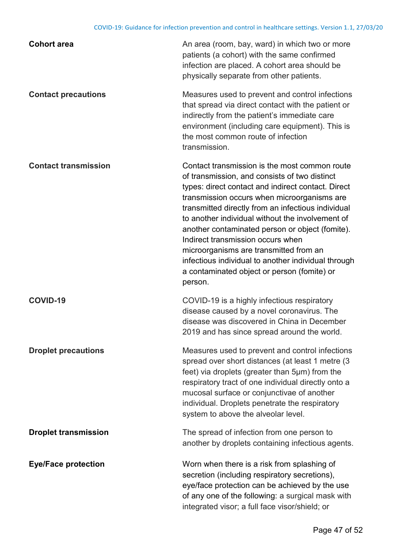| <b>Cohort area</b>          | An area (room, bay, ward) in which two or more<br>patients (a cohort) with the same confirmed<br>infection are placed. A cohort area should be<br>physically separate from other patients.                                                                                                                                                                                                                                                                                                                                                                       |
|-----------------------------|------------------------------------------------------------------------------------------------------------------------------------------------------------------------------------------------------------------------------------------------------------------------------------------------------------------------------------------------------------------------------------------------------------------------------------------------------------------------------------------------------------------------------------------------------------------|
| <b>Contact precautions</b>  | Measures used to prevent and control infections<br>that spread via direct contact with the patient or<br>indirectly from the patient's immediate care<br>environment (including care equipment). This is<br>the most common route of infection<br>transmission.                                                                                                                                                                                                                                                                                                  |
| <b>Contact transmission</b> | Contact transmission is the most common route<br>of transmission, and consists of two distinct<br>types: direct contact and indirect contact. Direct<br>transmission occurs when microorganisms are<br>transmitted directly from an infectious individual<br>to another individual without the involvement of<br>another contaminated person or object (fomite).<br>Indirect transmission occurs when<br>microorganisms are transmitted from an<br>infectious individual to another individual through<br>a contaminated object or person (fomite) or<br>person. |
| <b>COVID-19</b>             | COVID-19 is a highly infectious respiratory<br>disease caused by a novel coronavirus. The<br>disease was discovered in China in December<br>2019 and has since spread around the world.                                                                                                                                                                                                                                                                                                                                                                          |
| <b>Droplet precautions</b>  | Measures used to prevent and control infections<br>spread over short distances (at least 1 metre (3)<br>feet) via droplets (greater than 5µm) from the<br>respiratory tract of one individual directly onto a<br>mucosal surface or conjunctivae of another<br>individual. Droplets penetrate the respiratory<br>system to above the alveolar level.                                                                                                                                                                                                             |
| <b>Droplet transmission</b> | The spread of infection from one person to<br>another by droplets containing infectious agents.                                                                                                                                                                                                                                                                                                                                                                                                                                                                  |
| <b>Eye/Face protection</b>  | Worn when there is a risk from splashing of<br>secretion (including respiratory secretions),<br>eye/face protection can be achieved by the use<br>of any one of the following: a surgical mask with<br>integrated visor; a full face visor/shield; or                                                                                                                                                                                                                                                                                                            |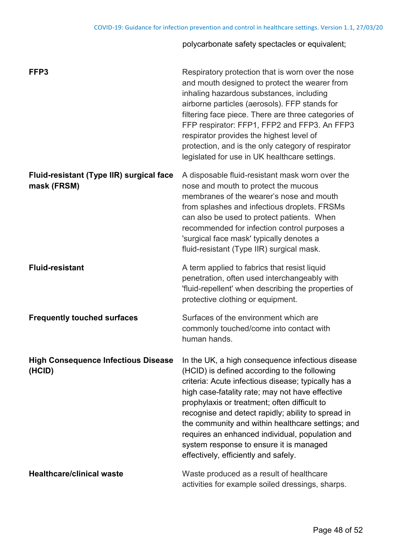polycarbonate safety spectacles or equivalent;

| FFP3                                                    | Respiratory protection that is worn over the nose<br>and mouth designed to protect the wearer from<br>inhaling hazardous substances, including<br>airborne particles (aerosols). FFP stands for<br>filtering face piece. There are three categories of<br>FFP respirator: FFP1, FFP2 and FFP3. An FFP3<br>respirator provides the highest level of<br>protection, and is the only category of respirator<br>legislated for use in UK healthcare settings.                                                   |
|---------------------------------------------------------|-------------------------------------------------------------------------------------------------------------------------------------------------------------------------------------------------------------------------------------------------------------------------------------------------------------------------------------------------------------------------------------------------------------------------------------------------------------------------------------------------------------|
| Fluid-resistant (Type IIR) surgical face<br>mask (FRSM) | A disposable fluid-resistant mask worn over the<br>nose and mouth to protect the mucous<br>membranes of the wearer's nose and mouth<br>from splashes and infectious droplets. FRSMs<br>can also be used to protect patients. When<br>recommended for infection control purposes a<br>'surgical face mask' typically denotes a<br>fluid-resistant (Type IIR) surgical mask.                                                                                                                                  |
| <b>Fluid-resistant</b>                                  | A term applied to fabrics that resist liquid<br>penetration, often used interchangeably with<br>'fluid-repellent' when describing the properties of<br>protective clothing or equipment.                                                                                                                                                                                                                                                                                                                    |
| <b>Frequently touched surfaces</b>                      | Surfaces of the environment which are<br>commonly touched/come into contact with<br>human hands.                                                                                                                                                                                                                                                                                                                                                                                                            |
| <b>High Consequence Infectious Disease</b><br>(HCID)    | In the UK, a high consequence infectious disease<br>(HCID) is defined according to the following<br>criteria: Acute infectious disease; typically has a<br>high case-fatality rate; may not have effective<br>prophylaxis or treatment; often difficult to<br>recognise and detect rapidly; ability to spread in<br>the community and within healthcare settings; and<br>requires an enhanced individual, population and<br>system response to ensure it is managed<br>effectively, efficiently and safely. |
| <b>Healthcare/clinical waste</b>                        | Waste produced as a result of healthcare<br>activities for example soiled dressings, sharps.                                                                                                                                                                                                                                                                                                                                                                                                                |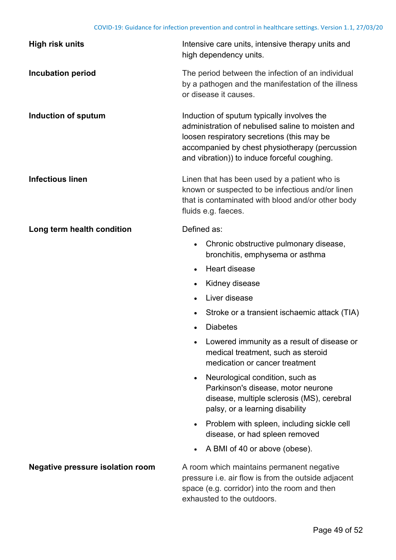| High risk units                         | Intensive care units, intensive therapy units and<br>high dependency units.                                                                                                                                                                     |  |
|-----------------------------------------|-------------------------------------------------------------------------------------------------------------------------------------------------------------------------------------------------------------------------------------------------|--|
| <b>Incubation period</b>                | The period between the infection of an individual<br>by a pathogen and the manifestation of the illness<br>or disease it causes.                                                                                                                |  |
| Induction of sputum                     | Induction of sputum typically involves the<br>administration of nebulised saline to moisten and<br>loosen respiratory secretions (this may be<br>accompanied by chest physiotherapy (percussion<br>and vibration)) to induce forceful coughing. |  |
| <b>Infectious linen</b>                 | Linen that has been used by a patient who is<br>known or suspected to be infectious and/or linen<br>that is contaminated with blood and/or other body<br>fluids e.g. faeces.                                                                    |  |
| Long term health condition              | Defined as:                                                                                                                                                                                                                                     |  |
|                                         | Chronic obstructive pulmonary disease,<br>$\bullet$<br>bronchitis, emphysema or asthma                                                                                                                                                          |  |
|                                         | <b>Heart disease</b>                                                                                                                                                                                                                            |  |
|                                         | Kidney disease<br>$\bullet$                                                                                                                                                                                                                     |  |
|                                         | Liver disease<br>$\bullet$                                                                                                                                                                                                                      |  |
|                                         | Stroke or a transient ischaemic attack (TIA)                                                                                                                                                                                                    |  |
|                                         | <b>Diabetes</b>                                                                                                                                                                                                                                 |  |
|                                         | Lowered immunity as a result of disease or<br>$\bullet$<br>medical treatment, such as steroid<br>medication or cancer treatment                                                                                                                 |  |
|                                         | Neurological condition, such as<br>$\bullet$<br>Parkinson's disease, motor neurone<br>disease, multiple sclerosis (MS), cerebral<br>palsy, or a learning disability                                                                             |  |
|                                         | Problem with spleen, including sickle cell<br>$\bullet$<br>disease, or had spleen removed                                                                                                                                                       |  |
|                                         | A BMI of 40 or above (obese).<br>$\bullet$                                                                                                                                                                                                      |  |
| <b>Negative pressure isolation room</b> | A room which maintains permanent negative<br>pressure i.e. air flow is from the outside adjacent<br>space (e.g. corridor) into the room and then<br>exhausted to the outdoors.                                                                  |  |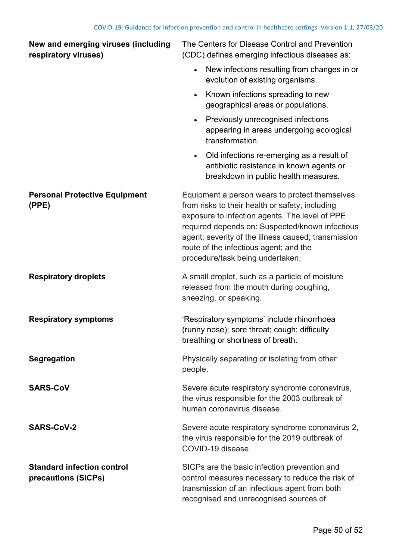| New and emerging viruses (including<br>respiratory viruses) | The Centers for Disease Control and Prevention<br>(CDC) defines emerging infectious diseases as:<br>New infections resulting from changes in or<br>$\bullet$<br>evolution of existing organisms.<br>Known infections spreading to new<br>$\bullet$<br>geographical areas or populations.<br>Previously unrecognised infections<br>$\bullet$<br>appearing in areas undergoing ecological<br>transformation.<br>Old infections re-emerging as a result of<br>$\bullet$<br>antibiotic resistance in known agents or<br>breakdown in public health measures. |
|-------------------------------------------------------------|----------------------------------------------------------------------------------------------------------------------------------------------------------------------------------------------------------------------------------------------------------------------------------------------------------------------------------------------------------------------------------------------------------------------------------------------------------------------------------------------------------------------------------------------------------|
| <b>Personal Protective Equipment</b><br>(PPE)               | Equipment a person wears to protect themselves<br>from risks to their health or safety, including<br>exposure to infection agents. The level of PPE<br>required depends on: Suspected/known infectious<br>agent; severity of the illness caused; transmission<br>route of the infectious agent; and the<br>procedure/task being undertaken.                                                                                                                                                                                                              |
| <b>Respiratory droplets</b>                                 | A small droplet, such as a particle of moisture<br>released from the mouth during coughing,<br>sneezing, or speaking.                                                                                                                                                                                                                                                                                                                                                                                                                                    |
| <b>Respiratory symptoms</b>                                 | 'Respiratory symptoms' include rhinorrhoea<br>(runny nose); sore throat; cough; difficulty<br>breathing or shortness of breath.                                                                                                                                                                                                                                                                                                                                                                                                                          |
| <b>Segregation</b>                                          | Physically separating or isolating from other<br>people.                                                                                                                                                                                                                                                                                                                                                                                                                                                                                                 |
| <b>SARS-CoV</b>                                             | Severe acute respiratory syndrome coronavirus,<br>the virus responsible for the 2003 outbreak of<br>human coronavirus disease.                                                                                                                                                                                                                                                                                                                                                                                                                           |
| <b>SARS-CoV-2</b>                                           | Severe acute respiratory syndrome coronavirus 2,<br>the virus responsible for the 2019 outbreak of<br>COVID-19 disease.                                                                                                                                                                                                                                                                                                                                                                                                                                  |
| <b>Standard infection control</b><br>precautions (SICPs)    | SICPs are the basic infection prevention and<br>control measures necessary to reduce the risk of<br>transmission of an infectious agent from both<br>recognised and unrecognised sources of                                                                                                                                                                                                                                                                                                                                                              |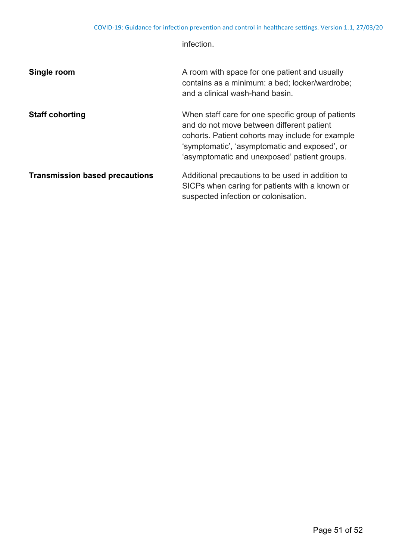infection.

| Single room                           | A room with space for one patient and usually<br>contains as a minimum: a bed; locker/wardrobe;<br>and a clinical wash-hand basin.                                                                                                                   |
|---------------------------------------|------------------------------------------------------------------------------------------------------------------------------------------------------------------------------------------------------------------------------------------------------|
| <b>Staff cohorting</b>                | When staff care for one specific group of patients<br>and do not move between different patient<br>cohorts. Patient cohorts may include for example<br>'symptomatic', 'asymptomatic and exposed', or<br>'asymptomatic and unexposed' patient groups. |
| <b>Transmission based precautions</b> | Additional precautions to be used in addition to<br>SICPs when caring for patients with a known or<br>suspected infection or colonisation.                                                                                                           |